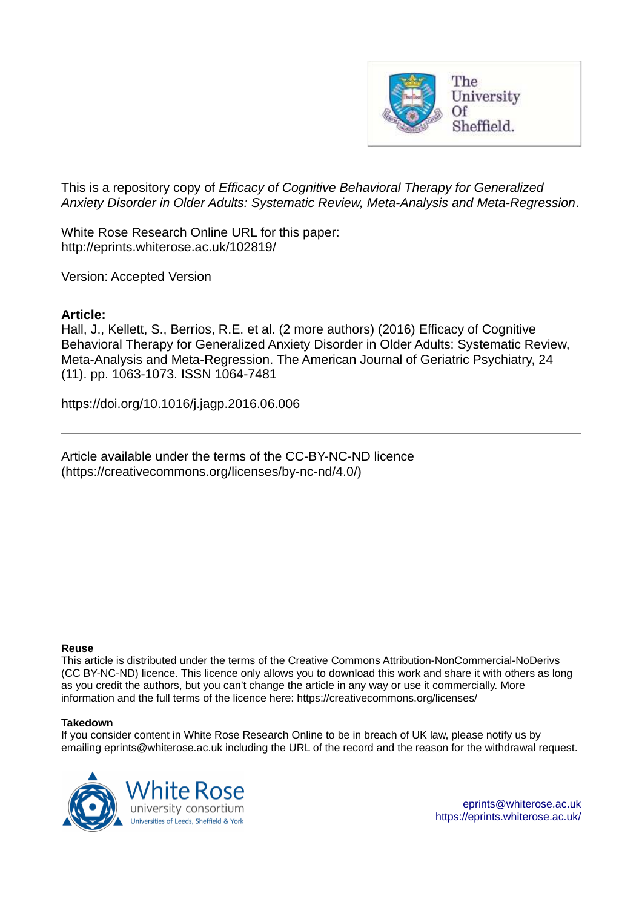

This is a repository copy of *Efficacy of Cognitive Behavioral Therapy for Generalized Anxiety Disorder in Older Adults: Systematic Review, Meta-Analysis and Meta-Regression*.

White Rose Research Online URL for this paper: http://eprints.whiterose.ac.uk/102819/

Version: Accepted Version

# **Article:**

Hall, J., Kellett, S., Berrios, R.E. et al. (2 more authors) (2016) Efficacy of Cognitive Behavioral Therapy for Generalized Anxiety Disorder in Older Adults: Systematic Review, Meta-Analysis and Meta-Regression. The American Journal of Geriatric Psychiatry, 24 (11). pp. 1063-1073. ISSN 1064-7481

https://doi.org/10.1016/j.jagp.2016.06.006

Article available under the terms of the CC-BY-NC-ND licence (https://creativecommons.org/licenses/by-nc-nd/4.0/)

### **Reuse**

This article is distributed under the terms of the Creative Commons Attribution-NonCommercial-NoDerivs (CC BY-NC-ND) licence. This licence only allows you to download this work and share it with others as long as you credit the authors, but you can't change the article in any way or use it commercially. More information and the full terms of the licence here: https://creativecommons.org/licenses/

### **Takedown**

If you consider content in White Rose Research Online to be in breach of UK law, please notify us by emailing eprints@whiterose.ac.uk including the URL of the record and the reason for the withdrawal request.

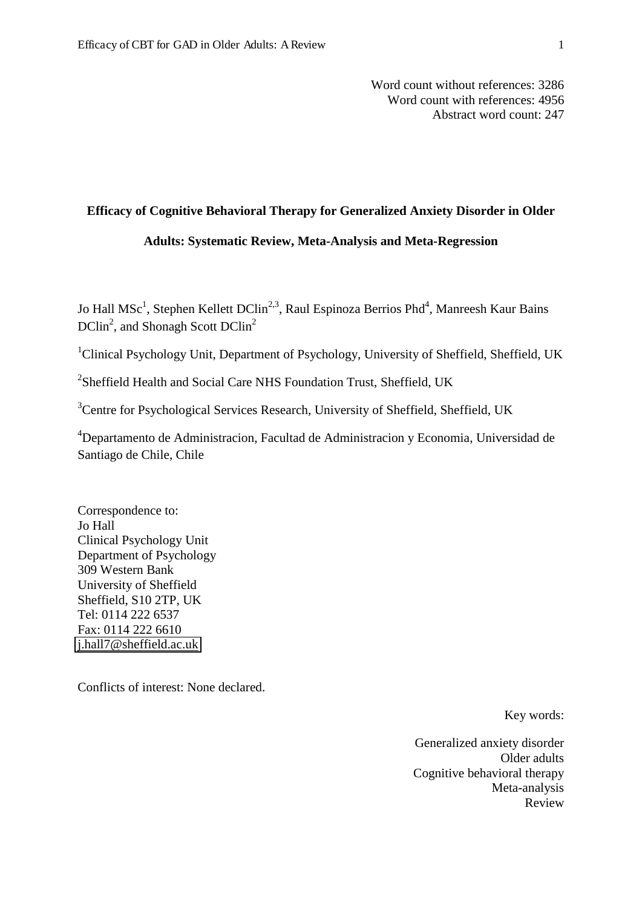Word count without references: 3286 Word count with references: 4956 Abstract word count: 247

# **Efficacy of Cognitive Behavioral Therapy for Generalized Anxiety Disorder in Older**

## **Adults: Systematic Review, Meta-Analysis and Meta-Regression**

Jo Hall MSc<sup>1</sup>, Stephen Kellett DClin<sup>2,3</sup>, Raul Espinoza Berrios Phd<sup>4</sup>, Manreesh Kaur Bains  $DClin<sup>2</sup>$ , and Shonagh Scott  $DClin<sup>2</sup>$ 

<sup>1</sup>Clinical Psychology Unit, Department of Psychology, University of Sheffield, Sheffield, UK

<sup>2</sup>Sheffield Health and Social Care NHS Foundation Trust, Sheffield, UK

<sup>3</sup>Centre for Psychological Services Research, University of Sheffield, Sheffield, UK

<sup>4</sup>Departamento de Administracion, Facultad de Administracion y Economia, Universidad de Santiago de Chile, Chile

Correspondence to: Jo Hall Clinical Psychology Unit Department of Psychology 309 Western Bank University of Sheffield Sheffield, S10 2TP, UK Tel: 0114 222 6537 Fax: 0114 222 6610 [j.hall7@sheffield.ac.uk](mailto:j.hall7@sheffield.ac.uk) 

Conflicts of interest: None declared.

Key words:

Generalized anxiety disorder Older adults Cognitive behavioral therapy Meta-analysis Review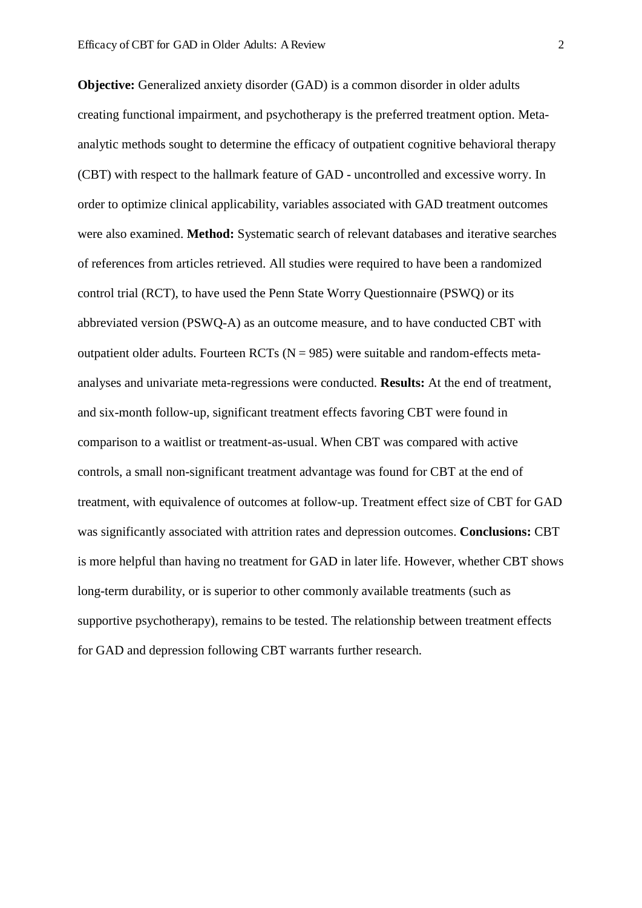**Objective:** Generalized anxiety disorder (GAD) is a common disorder in older adults creating functional impairment, and psychotherapy is the preferred treatment option. Metaanalytic methods sought to determine the efficacy of outpatient cognitive behavioral therapy (CBT) with respect to the hallmark feature of GAD - uncontrolled and excessive worry. In order to optimize clinical applicability, variables associated with GAD treatment outcomes were also examined. **Method:** Systematic search of relevant databases and iterative searches of references from articles retrieved. All studies were required to have been a randomized control trial (RCT), to have used the Penn State Worry Questionnaire (PSWQ) or its abbreviated version (PSWQ-A) as an outcome measure, and to have conducted CBT with outpatient older adults. Fourteen RCTs ( $N = 985$ ) were suitable and random-effects metaanalyses and univariate meta-regressions were conducted. **Results:** At the end of treatment, and six-month follow-up, significant treatment effects favoring CBT were found in comparison to a waitlist or treatment-as-usual. When CBT was compared with active controls, a small non-significant treatment advantage was found for CBT at the end of treatment, with equivalence of outcomes at follow-up. Treatment effect size of CBT for GAD was significantly associated with attrition rates and depression outcomes. **Conclusions:** CBT is more helpful than having no treatment for GAD in later life. However, whether CBT shows long-term durability, or is superior to other commonly available treatments (such as supportive psychotherapy), remains to be tested. The relationship between treatment effects for GAD and depression following CBT warrants further research.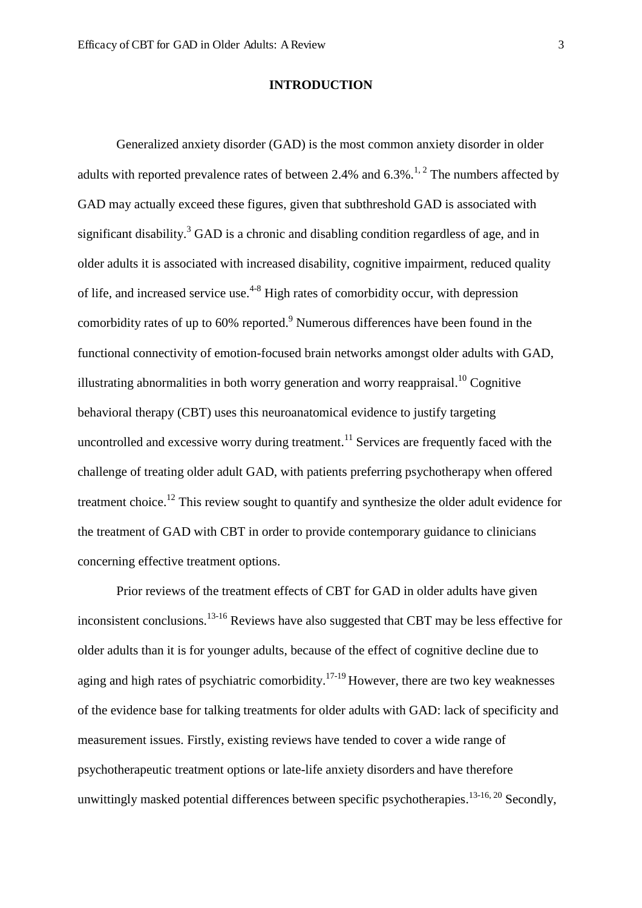### **INTRODUCTION**

Generalized anxiety disorder (GAD) is the most common anxiety disorder in older adults with reported prevalence rates of between 2.4% and  $6.3\%$ .<sup>1, 2</sup> The numbers affected by GAD may actually exceed these figures, given that subthreshold GAD is associated with significant disability.<sup>3</sup> GAD is a chronic and disabling condition regardless of age, and in older adults it is associated with increased disability, cognitive impairment, reduced quality of life, and increased service use.<sup> $4-8$ </sup> High rates of comorbidity occur, with depression comorbidity rates of up to  $60\%$  reported.<sup>9</sup> Numerous differences have been found in the functional connectivity of emotion-focused brain networks amongst older adults with GAD, illustrating abnormalities in both worry generation and worry reappraisal.<sup>10</sup> Cognitive behavioral therapy (CBT) uses this neuroanatomical evidence to justify targeting uncontrolled and excessive worry during treatment.<sup>11</sup> Services are frequently faced with the challenge of treating older adult GAD, with patients preferring psychotherapy when offered treatment choice.<sup>12</sup> This review sought to quantify and synthesize the older adult evidence for the treatment of GAD with CBT in order to provide contemporary guidance to clinicians concerning effective treatment options.

Prior reviews of the treatment effects of CBT for GAD in older adults have given inconsistent conclusions.<sup>13-16</sup> Reviews have also suggested that CBT may be less effective for older adults than it is for younger adults, because of the effect of cognitive decline due to aging and high rates of psychiatric comorbidity.<sup>17-19</sup> However, there are two key weaknesses of the evidence base for talking treatments for older adults with GAD: lack of specificity and measurement issues. Firstly, existing reviews have tended to cover a wide range of psychotherapeutic treatment options or late-life anxiety disorders and have therefore unwittingly masked potential differences between specific psychotherapies.<sup>13-16, 20</sup> Secondly,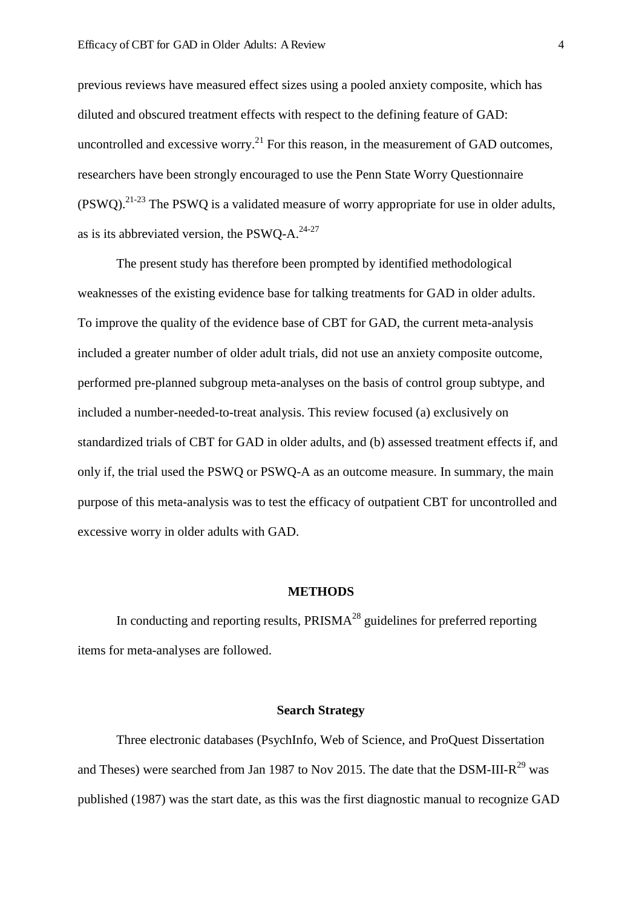previous reviews have measured effect sizes using a pooled anxiety composite, which has diluted and obscured treatment effects with respect to the defining feature of GAD: uncontrolled and excessive worry.<sup>21</sup> For this reason, in the measurement of GAD outcomes, researchers have been strongly encouraged to use the Penn State Worry Questionnaire  $(PSWQ).$ <sup>21-23</sup> The PSWQ is a validated measure of worry appropriate for use in older adults, as is its abbreviated version, the PSWQ-A. $24-27$ 

The present study has therefore been prompted by identified methodological weaknesses of the existing evidence base for talking treatments for GAD in older adults. To improve the quality of the evidence base of CBT for GAD, the current meta-analysis included a greater number of older adult trials, did not use an anxiety composite outcome, performed pre-planned subgroup meta-analyses on the basis of control group subtype, and included a number-needed-to-treat analysis. This review focused (a) exclusively on standardized trials of CBT for GAD in older adults, and (b) assessed treatment effects if, and only if, the trial used the PSWQ or PSWQ-A as an outcome measure. In summary, the main purpose of this meta-analysis was to test the efficacy of outpatient CBT for uncontrolled and excessive worry in older adults with GAD.

### **METHODS**

In conducting and reporting results,  $PRISMA<sup>28</sup>$  guidelines for preferred reporting items for meta-analyses are followed.

## **Search Strategy**

Three electronic databases (PsychInfo, Web of Science, and ProQuest Dissertation and Theses) were searched from Jan 1987 to Nov 2015. The date that the DSM-III- $R^{29}$  was published (1987) was the start date, as this was the first diagnostic manual to recognize GAD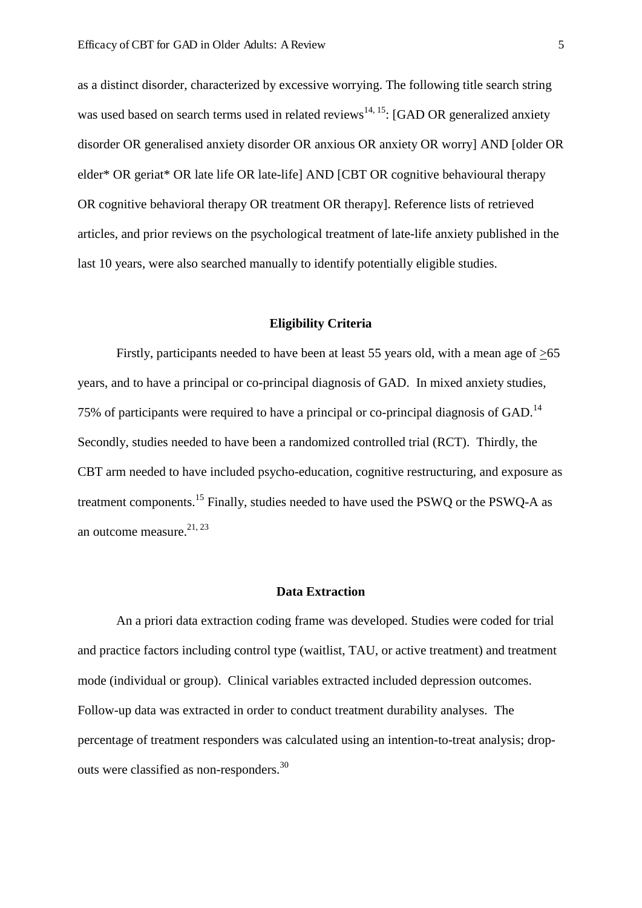as a distinct disorder, characterized by excessive worrying. The following title search string was used based on search terms used in related reviews<sup>14, 15</sup>: [GAD OR generalized anxiety disorder OR generalised anxiety disorder OR anxious OR anxiety OR worry] AND [older OR elder\* OR geriat\* OR late life OR late-life] AND [CBT OR cognitive behavioural therapy OR cognitive behavioral therapy OR treatment OR therapy]. Reference lists of retrieved articles, and prior reviews on the psychological treatment of late-life anxiety published in the last 10 years, were also searched manually to identify potentially eligible studies.

### **Eligibility Criteria**

Firstly, participants needed to have been at least 55 years old, with a mean age of  $>65$ years, and to have a principal or co-principal diagnosis of GAD. In mixed anxiety studies, 75% of participants were required to have a principal or co-principal diagnosis of GAD.<sup>14</sup> Secondly, studies needed to have been a randomized controlled trial (RCT). Thirdly, the CBT arm needed to have included psycho-education, cognitive restructuring, and exposure as treatment components.<sup>15</sup> Finally, studies needed to have used the PSWQ or the PSWQ-A as an outcome measure. $21, 23$ 

## **Data Extraction**

An a priori data extraction coding frame was developed. Studies were coded for trial and practice factors including control type (waitlist, TAU, or active treatment) and treatment mode (individual or group). Clinical variables extracted included depression outcomes. Follow-up data was extracted in order to conduct treatment durability analyses. The percentage of treatment responders was calculated using an intention-to-treat analysis; dropouts were classified as non-responders.<sup>30</sup>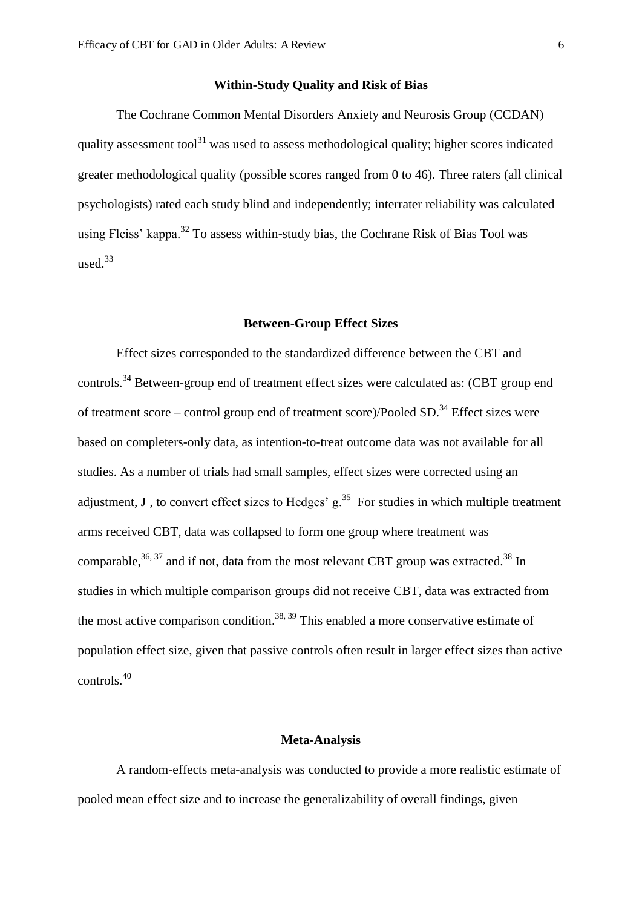## **Within-Study Quality and Risk of Bias**

The Cochrane Common Mental Disorders Anxiety and Neurosis Group (CCDAN) quality assessment tool<sup>31</sup> was used to assess methodological quality; higher scores indicated greater methodological quality (possible scores ranged from 0 to 46). Three raters (all clinical psychologists) rated each study blind and independently; interrater reliability was calculated using Fleiss' kappa.<sup>32</sup> To assess within-study bias, the Cochrane Risk of Bias Tool was used. $33$ 

### **Between-Group Effect Sizes**

Effect sizes corresponded to the standardized difference between the CBT and controls.<sup>34</sup> Between-group end of treatment effect sizes were calculated as: (CBT group end of treatment score – control group end of treatment score)/Pooled  $SD$ <sup>34</sup> Effect sizes were based on completers-only data, as intention-to-treat outcome data was not available for all studies. As a number of trials had small samples, effect sizes were corrected using an adjustment, J, to convert effect sizes to Hedges'  $g<sup>35</sup>$ . For studies in which multiple treatment arms received CBT, data was collapsed to form one group where treatment was comparable,  $36, 37$  and if not, data from the most relevant CBT group was extracted.  $38$  In studies in which multiple comparison groups did not receive CBT, data was extracted from the most active comparison condition.<sup>38, 39</sup> This enabled a more conservative estimate of population effect size, given that passive controls often result in larger effect sizes than active controls.<sup>40</sup>

# **Meta-Analysis**

A random-effects meta-analysis was conducted to provide a more realistic estimate of pooled mean effect size and to increase the generalizability of overall findings, given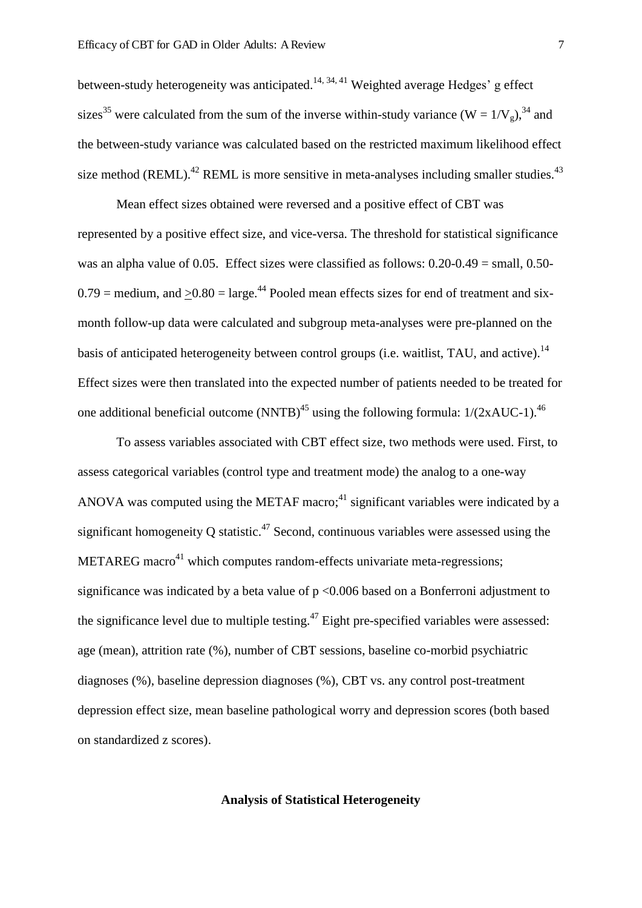between-study heterogeneity was anticipated.<sup>14, 34, 41</sup> Weighted average Hedges' g effect sizes<sup>35</sup> were calculated from the sum of the inverse within-study variance (W =  $1/V<sub>g</sub>$ ), <sup>34</sup> and the between-study variance was calculated based on the restricted maximum likelihood effect size method (REML).<sup>42</sup> REML is more sensitive in meta-analyses including smaller studies.<sup>43</sup>

Mean effect sizes obtained were reversed and a positive effect of CBT was represented by a positive effect size, and vice-versa. The threshold for statistical significance was an alpha value of 0.05. Effect sizes were classified as follows: 0.20-0.49 = small, 0.50-  $0.79$  = medium, and  $> 0.80$  = large.<sup>44</sup> Pooled mean effects sizes for end of treatment and sixmonth follow-up data were calculated and subgroup meta-analyses were pre-planned on the basis of anticipated heterogeneity between control groups (i.e. waitlist, TAU, and active).<sup>14</sup> Effect sizes were then translated into the expected number of patients needed to be treated for one additional beneficial outcome (NNTB)<sup>45</sup> using the following formula:  $1/(2xAUC-1)$ .<sup>46</sup>

To assess variables associated with CBT effect size, two methods were used. First, to assess categorical variables (control type and treatment mode) the analog to a one-way ANOVA was computed using the METAF macro;<sup>41</sup> significant variables were indicated by a significant homogeneity Q statistic.<sup>47</sup> Second, continuous variables were assessed using the METAREG macro<sup>41</sup> which computes random-effects univariate meta-regressions; significance was indicated by a beta value of  $p \le 0.006$  based on a Bonferroni adjustment to the significance level due to multiple testing.<sup>47</sup> Eight pre-specified variables were assessed: age (mean), attrition rate (%), number of CBT sessions, baseline co-morbid psychiatric diagnoses (%), baseline depression diagnoses (%), CBT vs. any control post-treatment depression effect size, mean baseline pathological worry and depression scores (both based on standardized z scores).

# **Analysis of Statistical Heterogeneity**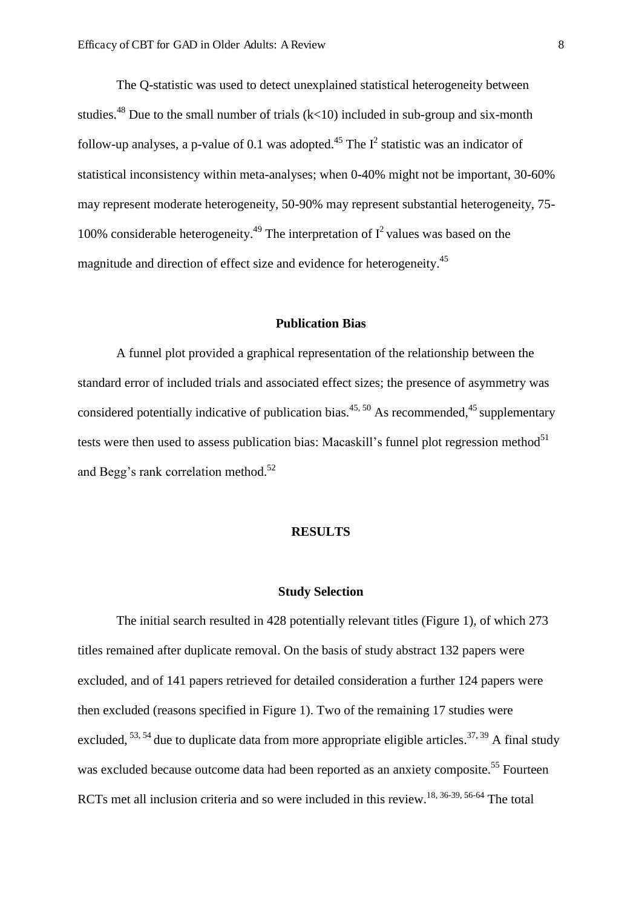The Q-statistic was used to detect unexplained statistical heterogeneity between studies.<sup>48</sup> Due to the small number of trials  $(k<10)$  included in sub-group and six-month follow-up analyses, a p-value of 0.1 was adopted.<sup>45</sup> The  $I^2$  statistic was an indicator of statistical inconsistency within meta-analyses; when 0-40% might not be important, 30-60% may represent moderate heterogeneity, 50-90% may represent substantial heterogeneity, 75- 100% considerable heterogeneity.<sup>49</sup> The interpretation of  $I^2$  values was based on the magnitude and direction of effect size and evidence for heterogeneity.<sup>45</sup>

### **Publication Bias**

A funnel plot provided a graphical representation of the relationship between the standard error of included trials and associated effect sizes; the presence of asymmetry was considered potentially indicative of publication bias.<sup>45, 50</sup> As recommended,<sup>45</sup> supplementary tests were then used to assess publication bias: Macaskill's funnel plot regression method $51$ and Begg's rank correlation method.<sup>52</sup>

## **RESULTS**

#### **Study Selection**

 The initial search resulted in 428 potentially relevant titles (Figure 1), of which 273 titles remained after duplicate removal. On the basis of study abstract 132 papers were excluded, and of 141 papers retrieved for detailed consideration a further 124 papers were then excluded (reasons specified in Figure 1). Two of the remaining 17 studies were excluded,  $^{53, 54}$  due to duplicate data from more appropriate eligible articles.<sup>37, 39</sup> A final study was excluded because outcome data had been reported as an anxiety composite.<sup>55</sup> Fourteen RCTs met all inclusion criteria and so were included in this review.<sup>18, 36-39, 56-64</sup> The total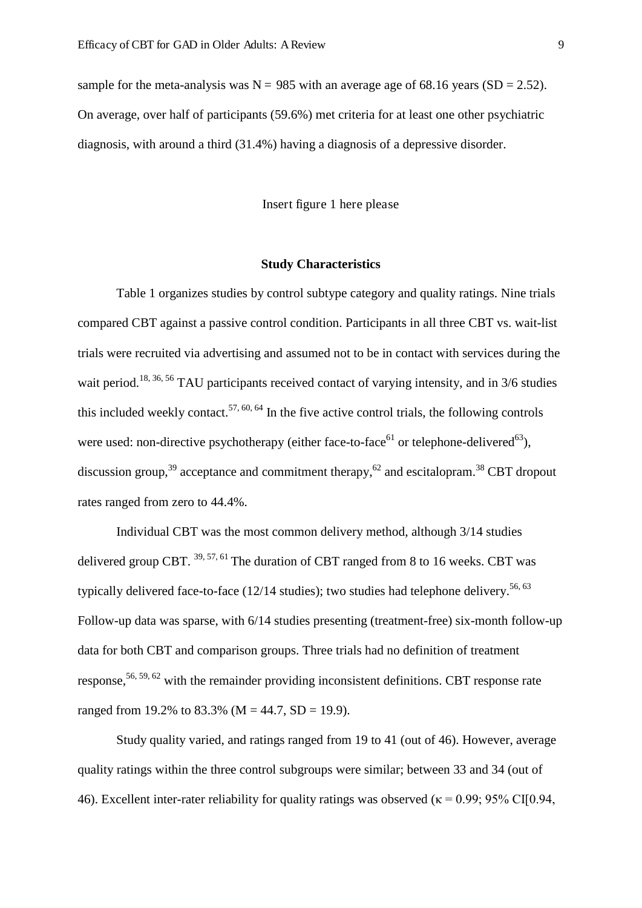sample for the meta-analysis was  $N = 985$  with an average age of 68.16 years (SD = 2.52). On average, over half of participants (59.6%) met criteria for at least one other psychiatric diagnosis, with around a third (31.4%) having a diagnosis of a depressive disorder.

Insert figure 1 here please

## **Study Characteristics**

Table 1 organizes studies by control subtype category and quality ratings. Nine trials compared CBT against a passive control condition. Participants in all three CBT vs. wait-list trials were recruited via advertising and assumed not to be in contact with services during the wait period.<sup>18, 36, 56</sup> TAU participants received contact of varying intensity, and in 3/6 studies this included weekly contact.<sup>57, 60, 64</sup> In the five active control trials, the following controls were used: non-directive psychotherapy (either face-to-face<sup>61</sup> or telephone-delivered<sup>63</sup>), discussion group,<sup>39</sup> acceptance and commitment therapy,<sup>62</sup> and escitalopram.<sup>38</sup> CBT dropout rates ranged from zero to 44.4%.

Individual CBT was the most common delivery method, although 3/14 studies delivered group CBT.  $^{39, 57, 61}$  The duration of CBT ranged from 8 to 16 weeks. CBT was typically delivered face-to-face  $(12/14 \text{ studies})$ ; two studies had telephone delivery.<sup>56, 63</sup> Follow-up data was sparse, with 6/14 studies presenting (treatment-free) six-month follow-up data for both CBT and comparison groups. Three trials had no definition of treatment response,  $56, 59, 62$  with the remainder providing inconsistent definitions. CBT response rate ranged from 19.2% to 83.3% ( $M = 44.7$ , SD = 19.9).

Study quality varied, and ratings ranged from 19 to 41 (out of 46). However, average quality ratings within the three control subgroups were similar; between 33 and 34 (out of 46). Excellent inter-rater reliability for quality ratings was observed ( $\kappa$  = 0.99; 95% CI[0.94,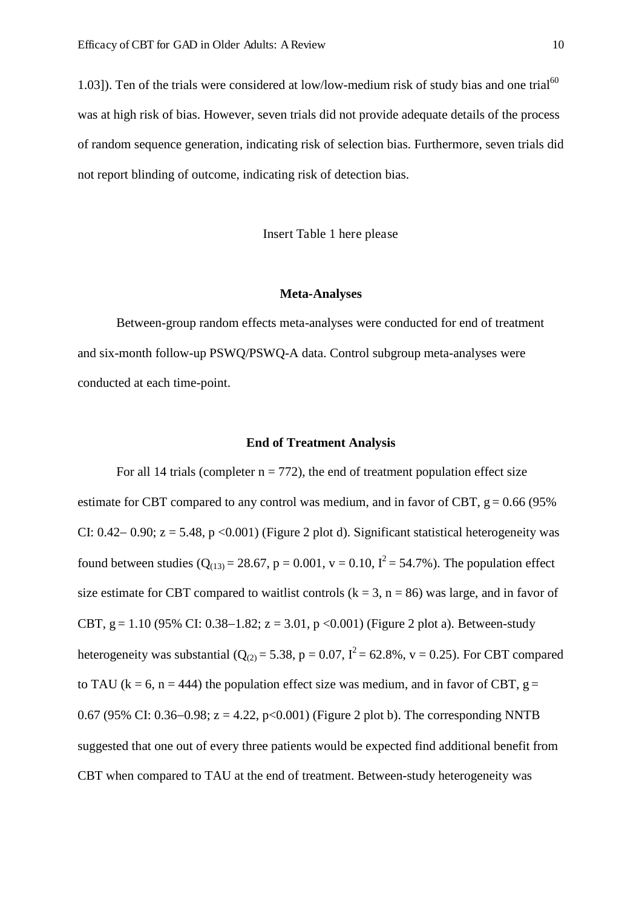1.03]). Ten of the trials were considered at low/low-medium risk of study bias and one trial<sup>60</sup> was at high risk of bias. However, seven trials did not provide adequate details of the process of random sequence generation, indicating risk of selection bias. Furthermore, seven trials did not report blinding of outcome, indicating risk of detection bias.

Insert Table 1 here please

### **Meta-Analyses**

Between-group random effects meta-analyses were conducted for end of treatment and six-month follow-up PSWQ/PSWQ-A data. Control subgroup meta-analyses were conducted at each time-point.

## **End of Treatment Analysis**

For all 14 trials (completer  $n = 772$ ), the end of treatment population effect size estimate for CBT compared to any control was medium, and in favor of CBT,  $g = 0.66$  (95%) CI:  $0.42 - 0.90$ ;  $z = 5.48$ ,  $p < 0.001$ ) (Figure 2 plot d). Significant statistical heterogeneity was found between studies ( $Q_{(13)} = 28.67$ ,  $p = 0.001$ ,  $v = 0.10$ ,  $I^2 = 54.7$ %). The population effect size estimate for CBT compared to waitlist controls  $(k = 3, n = 86)$  was large, and in favor of CBT, g = 1.10 (95% CI: 0.38–1.82; z = 3.01, p < 0.001) (Figure 2 plot a). Between-study heterogeneity was substantial ( $Q_{(2)} = 5.38$ , p = 0.07,  $I^2 = 62.8\%$ , v = 0.25). For CBT compared to TAU ( $k = 6$ ,  $n = 444$ ) the population effect size was medium, and in favor of CBT,  $g =$ 0.67 (95% CI: 0.36–0.98;  $z = 4.22$ ,  $p < 0.001$ ) (Figure 2 plot b). The corresponding NNTB suggested that one out of every three patients would be expected find additional benefit from CBT when compared to TAU at the end of treatment. Between-study heterogeneity was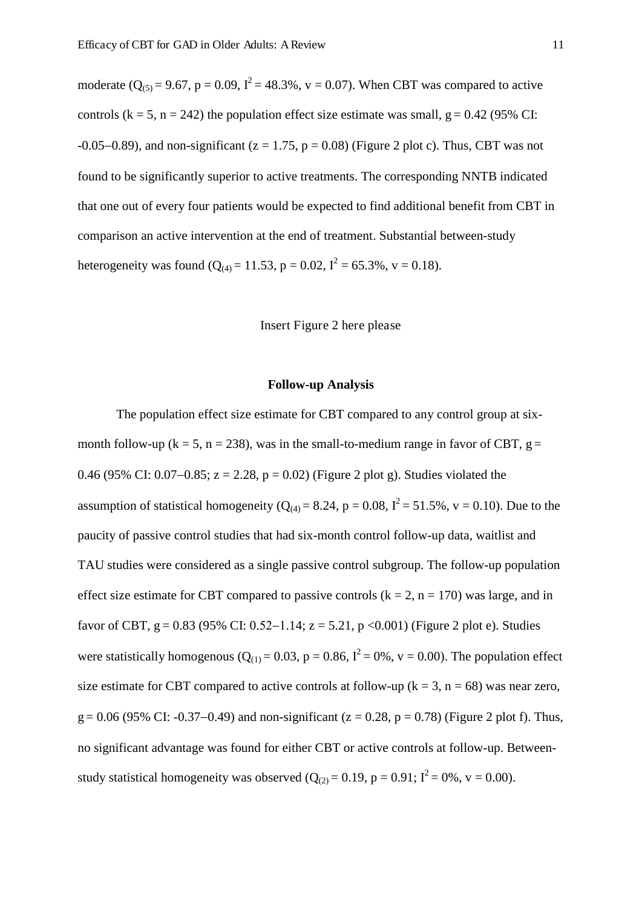moderate  $(Q_{(5)} = 9.67, p = 0.09, I^2 = 48.3\%, v = 0.07)$ . When CBT was compared to active controls ( $k = 5$ ,  $n = 242$ ) the population effect size estimate was small,  $g = 0.42$  (95% CI: -0.05–0.89), and non-significant ( $z = 1.75$ ,  $p = 0.08$ ) (Figure 2 plot c). Thus, CBT was not found to be significantly superior to active treatments. The corresponding NNTB indicated that one out of every four patients would be expected to find additional benefit from CBT in comparison an active intervention at the end of treatment. Substantial between-study heterogeneity was found ( $Q_{(4)} = 11.53$ , p = 0.02, I<sup>2</sup> = 65.3%, v = 0.18).

## Insert Figure 2 here please

### **Follow-up Analysis**

The population effect size estimate for CBT compared to any control group at sixmonth follow-up ( $k = 5$ ,  $n = 238$ ), was in the small-to-medium range in favor of CBT,  $g =$ 0.46 (95% CI: 0.07–0.85;  $z = 2.28$ ,  $p = 0.02$ ) (Figure 2 plot g). Studies violated the assumption of statistical homogeneity ( $Q_{(4)} = 8.24$ ,  $p = 0.08$ ,  $I^2 = 51.5$ %,  $v = 0.10$ ). Due to the paucity of passive control studies that had six-month control follow-up data, waitlist and TAU studies were considered as a single passive control subgroup. The follow-up population effect size estimate for CBT compared to passive controls  $(k = 2, n = 170)$  was large, and in favor of CBT, g = 0.83 (95% CI: 0.52–1.14; z = 5.21, p < 0.001) (Figure 2 plot e). Studies were statistically homogenous ( $Q_{(1)} = 0.03$ ,  $p = 0.86$ ,  $I^2 = 0\%$ ,  $v = 0.00$ ). The population effect size estimate for CBT compared to active controls at follow-up ( $k = 3$ ,  $n = 68$ ) was near zero,  $g = 0.06$  (95% CI: -0.37–0.49) and non-significant (z = 0.28, p = 0.78) (Figure 2 plot f). Thus, no significant advantage was found for either CBT or active controls at follow-up. Betweenstudy statistical homogeneity was observed  $(Q_{(2)} = 0.19, p = 0.91; I^2 = 0\%, v = 0.00)$ .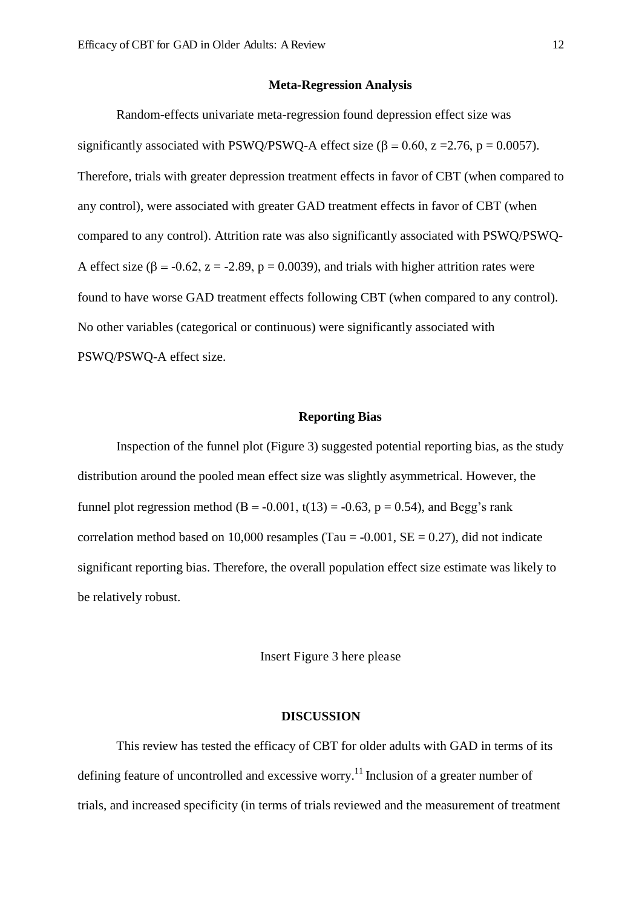### **Meta-Regression Analysis**

Random-effects univariate meta-regression found depression effect size was significantly associated with PSWQ/PSWQ-A effect size ( $\beta$  = 0.60, z = 2.76, p = 0.0057). Therefore, trials with greater depression treatment effects in favor of CBT (when compared to any control), were associated with greater GAD treatment effects in favor of CBT (when compared to any control). Attrition rate was also significantly associated with PSWQ/PSWQ-A effect size ( $\beta$  = -0.62, z = -2.89, p = 0.0039), and trials with higher attrition rates were found to have worse GAD treatment effects following CBT (when compared to any control). No other variables (categorical or continuous) were significantly associated with PSWQ/PSWQ-A effect size.

### **Reporting Bias**

Inspection of the funnel plot (Figure 3) suggested potential reporting bias, as the study distribution around the pooled mean effect size was slightly asymmetrical. However, the funnel plot regression method (B = -0.001, t(13) = -0.63, p = 0.54), and Begg's rank correlation method based on 10,000 resamples (Tau  $= -0.001$ , SE  $= 0.27$ ), did not indicate significant reporting bias. Therefore, the overall population effect size estimate was likely to be relatively robust.

Insert Figure 3 here please

## **DISCUSSION**

This review has tested the efficacy of CBT for older adults with GAD in terms of its defining feature of uncontrolled and excessive worry.<sup>11</sup> Inclusion of a greater number of trials, and increased specificity (in terms of trials reviewed and the measurement of treatment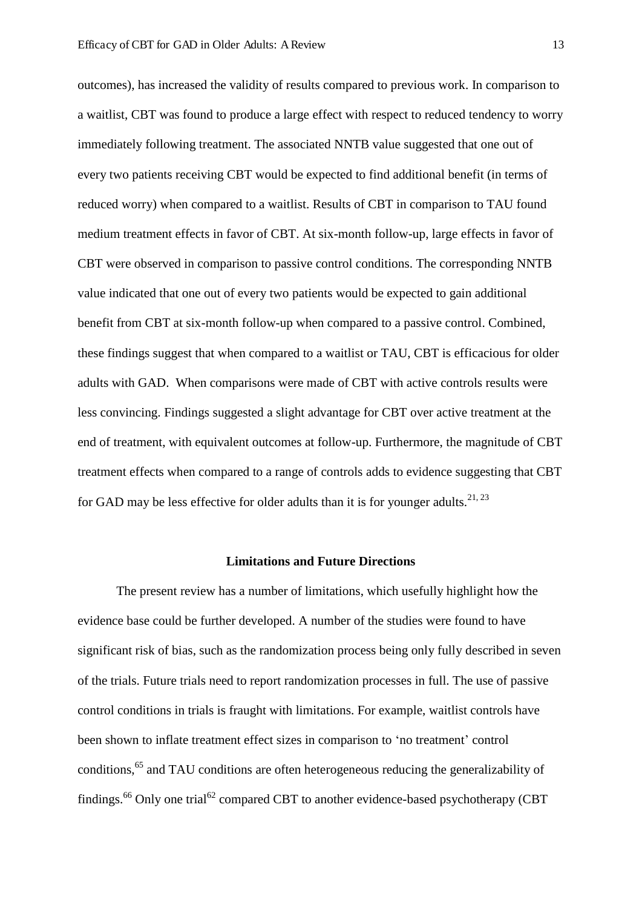outcomes), has increased the validity of results compared to previous work. In comparison to a waitlist, CBT was found to produce a large effect with respect to reduced tendency to worry immediately following treatment. The associated NNTB value suggested that one out of every two patients receiving CBT would be expected to find additional benefit (in terms of reduced worry) when compared to a waitlist. Results of CBT in comparison to TAU found medium treatment effects in favor of CBT. At six-month follow-up, large effects in favor of CBT were observed in comparison to passive control conditions. The corresponding NNTB value indicated that one out of every two patients would be expected to gain additional benefit from CBT at six-month follow-up when compared to a passive control. Combined, these findings suggest that when compared to a waitlist or TAU, CBT is efficacious for older adults with GAD. When comparisons were made of CBT with active controls results were less convincing. Findings suggested a slight advantage for CBT over active treatment at the end of treatment, with equivalent outcomes at follow-up. Furthermore, the magnitude of CBT treatment effects when compared to a range of controls adds to evidence suggesting that CBT for GAD may be less effective for older adults than it is for younger adults.<sup>21, 23</sup>

## **Limitations and Future Directions**

The present review has a number of limitations, which usefully highlight how the evidence base could be further developed. A number of the studies were found to have significant risk of bias, such as the randomization process being only fully described in seven of the trials. Future trials need to report randomization processes in full. The use of passive control conditions in trials is fraught with limitations. For example, waitlist controls have been shown to inflate treatment effect sizes in comparison to 'no treatment' control conditions,<sup>65</sup> and TAU conditions are often heterogeneous reducing the generalizability of findings.<sup>66</sup> Only one trial<sup>62</sup> compared CBT to another evidence-based psychotherapy (CBT)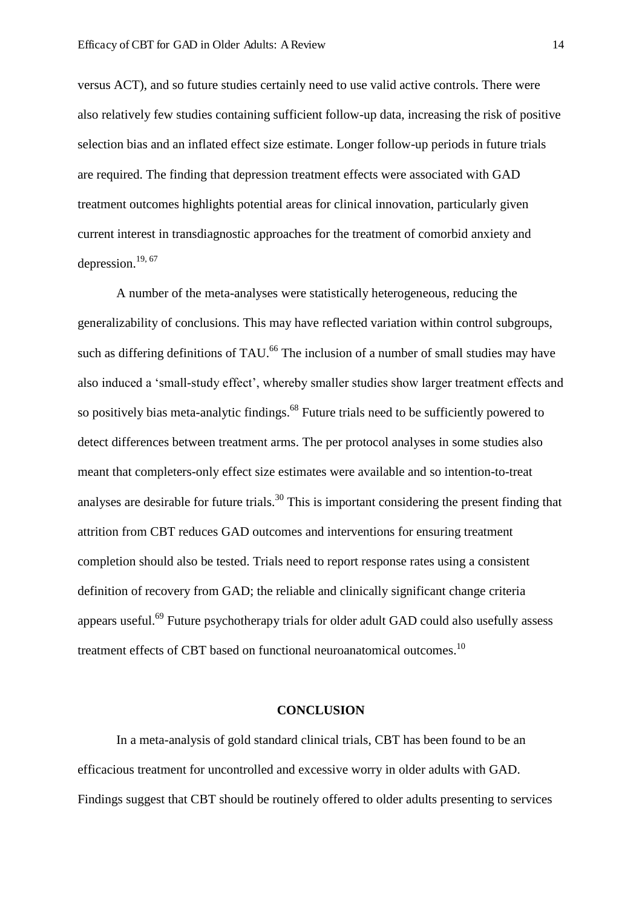versus ACT), and so future studies certainly need to use valid active controls. There were also relatively few studies containing sufficient follow-up data, increasing the risk of positive selection bias and an inflated effect size estimate. Longer follow-up periods in future trials are required. The finding that depression treatment effects were associated with GAD treatment outcomes highlights potential areas for clinical innovation, particularly given current interest in transdiagnostic approaches for the treatment of comorbid anxiety and depression.<sup>19, 67</sup>

A number of the meta-analyses were statistically heterogeneous, reducing the generalizability of conclusions. This may have reflected variation within control subgroups, such as differing definitions of TAU.<sup>66</sup> The inclusion of a number of small studies may have also induced a 'small-study effect', whereby smaller studies show larger treatment effects and so positively bias meta-analytic findings.<sup>68</sup> Future trials need to be sufficiently powered to detect differences between treatment arms. The per protocol analyses in some studies also meant that completers-only effect size estimates were available and so intention-to-treat analyses are desirable for future trials.<sup>30</sup> This is important considering the present finding that attrition from CBT reduces GAD outcomes and interventions for ensuring treatment completion should also be tested. Trials need to report response rates using a consistent definition of recovery from GAD; the reliable and clinically significant change criteria appears useful.<sup>69</sup> Future psychotherapy trials for older adult GAD could also usefully assess treatment effects of CBT based on functional neuroanatomical outcomes.<sup>10</sup>

### **CONCLUSION**

In a meta-analysis of gold standard clinical trials, CBT has been found to be an efficacious treatment for uncontrolled and excessive worry in older adults with GAD. Findings suggest that CBT should be routinely offered to older adults presenting to services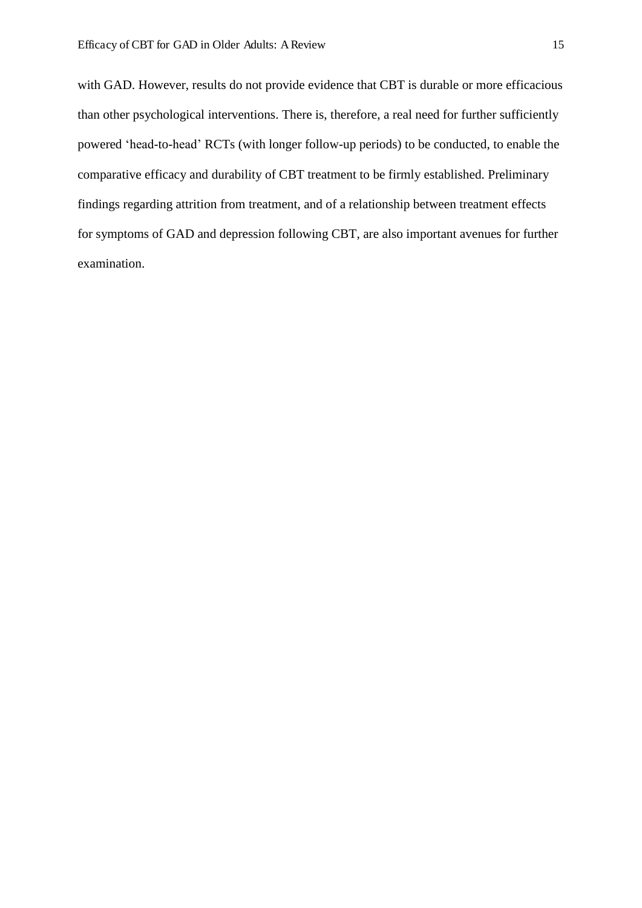with GAD. However, results do not provide evidence that CBT is durable or more efficacious than other psychological interventions. There is, therefore, a real need for further sufficiently powered 'head-to-head' RCTs (with longer follow-up periods) to be conducted, to enable the comparative efficacy and durability of CBT treatment to be firmly established. Preliminary findings regarding attrition from treatment, and of a relationship between treatment effects for symptoms of GAD and depression following CBT, are also important avenues for further examination.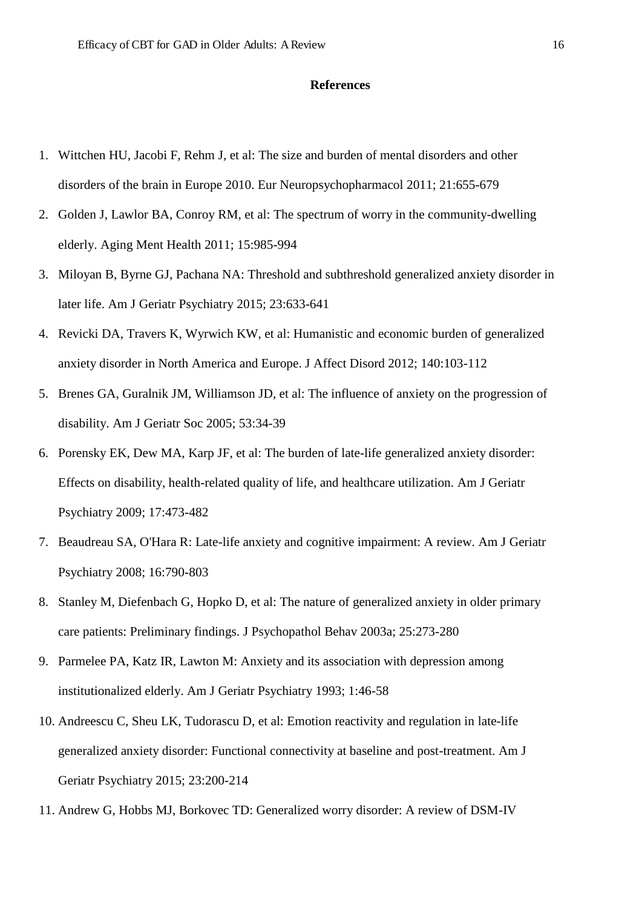### **References**

- 1. Wittchen HU, Jacobi F, Rehm J, et al: The size and burden of mental disorders and other disorders of the brain in Europe 2010. Eur Neuropsychopharmacol 2011; 21:655-679
- 2. Golden J, Lawlor BA, Conroy RM, et al: The spectrum of worry in the community-dwelling elderly. Aging Ment Health 2011; 15:985-994
- 3. Miloyan B, Byrne GJ, Pachana NA: Threshold and subthreshold generalized anxiety disorder in later life. Am J Geriatr Psychiatry 2015; 23:633-641
- 4. Revicki DA, Travers K, Wyrwich KW, et al: Humanistic and economic burden of generalized anxiety disorder in North America and Europe. J Affect Disord 2012; 140:103-112
- 5. Brenes GA, Guralnik JM, Williamson JD, et al: The influence of anxiety on the progression of disability. Am J Geriatr Soc 2005; 53:34-39
- 6. Porensky EK, Dew MA, Karp JF, et al: The burden of late-life generalized anxiety disorder: Effects on disability, health-related quality of life, and healthcare utilization. Am J Geriatr Psychiatry 2009; 17:473-482
- 7. Beaudreau SA, O'Hara R: Late-life anxiety and cognitive impairment: A review. Am J Geriatr Psychiatry 2008; 16:790-803
- 8. Stanley M, Diefenbach G, Hopko D, et al: The nature of generalized anxiety in older primary care patients: Preliminary findings. J Psychopathol Behav 2003a; 25:273-280
- 9. Parmelee PA, Katz IR, Lawton M: Anxiety and its association with depression among institutionalized elderly. Am J Geriatr Psychiatry 1993; 1:46-58
- 10. Andreescu C, Sheu LK, Tudorascu D, et al: Emotion reactivity and regulation in late-life generalized anxiety disorder: Functional connectivity at baseline and post-treatment. Am J Geriatr Psychiatry 2015; 23:200-214
- 11. Andrew G, Hobbs MJ, Borkovec TD: Generalized worry disorder: A review of DSM-IV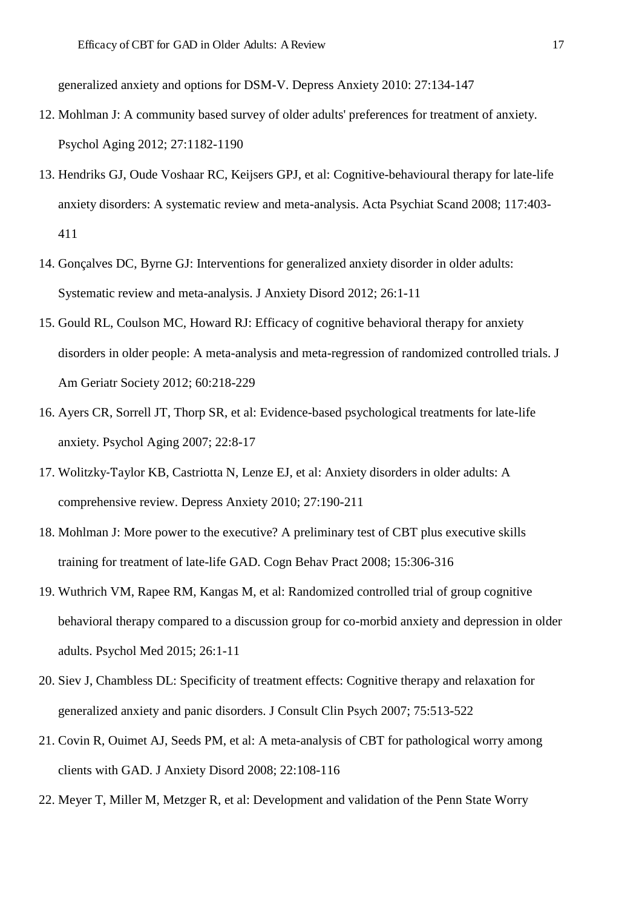generalized anxiety and options for DSM-V. Depress Anxiety 2010: 27:134-147

- 12. Mohlman J: A community based survey of older adults' preferences for treatment of anxiety. Psychol Aging 2012; 27:1182-1190
- 13. Hendriks GJ, Oude Voshaar RC, Keijsers GPJ, et al: Cognitive-behavioural therapy for late-life anxiety disorders: A systematic review and meta-analysis. Acta Psychiat Scand 2008; 117:403- 411
- 14. Gonçalves DC, Byrne GJ: Interventions for generalized anxiety disorder in older adults: Systematic review and meta-analysis. J Anxiety Disord 2012; 26:1-11
- 15. Gould RL, Coulson MC, Howard RJ: Efficacy of cognitive behavioral therapy for anxiety disorders in older people: A meta-analysis and meta-regression of randomized controlled trials. J Am Geriatr Society 2012; 60:218-229
- 16. Ayers CR, Sorrell JT, Thorp SR, et al: Evidence-based psychological treatments for late-life anxiety. Psychol Aging 2007; 22:8-17
- 17. Wolitzky-Taylor KB, Castriotta N, Lenze EJ, et al: Anxiety disorders in older adults: A comprehensive review. Depress Anxiety 2010; 27:190-211
- 18. Mohlman J: More power to the executive? A preliminary test of CBT plus executive skills training for treatment of late-life GAD. Cogn Behav Pract 2008; 15:306-316
- 19. Wuthrich VM, Rapee RM, Kangas M, et al: Randomized controlled trial of group cognitive behavioral therapy compared to a discussion group for co-morbid anxiety and depression in older adults. Psychol Med 2015; 26:1-11
- 20. Siev J, Chambless DL: Specificity of treatment effects: Cognitive therapy and relaxation for generalized anxiety and panic disorders. J Consult Clin Psych 2007; 75:513-522
- 21. Covin R, Ouimet AJ, Seeds PM, et al: A meta-analysis of CBT for pathological worry among clients with GAD. J Anxiety Disord 2008; 22:108-116
- 22. Meyer T, Miller M, Metzger R, et al: Development and validation of the Penn State Worry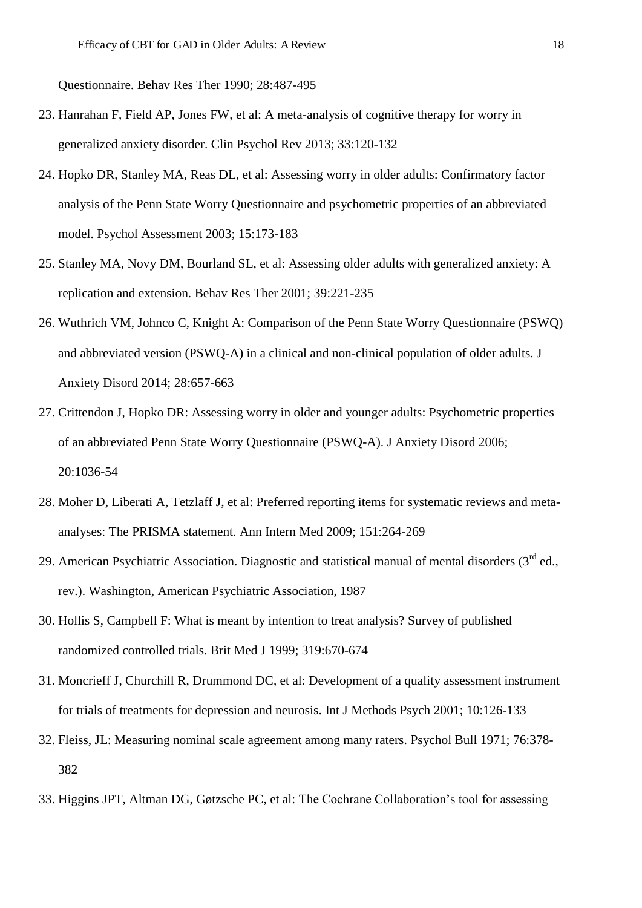Questionnaire. Behav Res Ther 1990; 28:487-495

- 23. Hanrahan F, Field AP, Jones FW, et al: A meta-analysis of cognitive therapy for worry in generalized anxiety disorder. Clin Psychol Rev 2013; 33:120-132
- 24. Hopko DR, Stanley MA, Reas DL, et al: Assessing worry in older adults: Confirmatory factor analysis of the Penn State Worry Questionnaire and psychometric properties of an abbreviated model. Psychol Assessment 2003; 15:173-183
- 25. Stanley MA, Novy DM, Bourland SL, et al: Assessing older adults with generalized anxiety: A replication and extension. Behav Res Ther 2001; 39:221-235
- 26. Wuthrich VM, Johnco C, Knight A: Comparison of the Penn State Worry Questionnaire (PSWQ) and abbreviated version (PSWQ-A) in a clinical and non-clinical population of older adults. J Anxiety Disord 2014; 28:657-663
- 27. Crittendon J, Hopko DR: Assessing worry in older and younger adults: Psychometric properties of an abbreviated Penn State Worry Questionnaire (PSWQ-A). J Anxiety Disord 2006; 20:1036-54
- 28. Moher D, Liberati A, Tetzlaff J, et al: Preferred reporting items for systematic reviews and metaanalyses: The PRISMA statement. Ann Intern Med 2009; 151:264-269
- 29. American Psychiatric Association. Diagnostic and statistical manual of mental disorders (3<sup>rd</sup> ed., rev.). Washington, American Psychiatric Association, 1987
- 30. Hollis S, Campbell F: What is meant by intention to treat analysis? Survey of published randomized controlled trials. Brit Med J 1999; 319:670-674
- 31. Moncrieff J, Churchill R, Drummond DC, et al: Development of a quality assessment instrument for trials of treatments for depression and neurosis. Int J Methods Psych 2001; 10:126-133
- 32. Fleiss, JL: Measuring nominal scale agreement among many raters. Psychol Bull 1971; 76:378- 382
- 33. Higgins JPT, Altman DG, Gøtzsche PC, et al: The Cochrane Collaboration's tool for assessing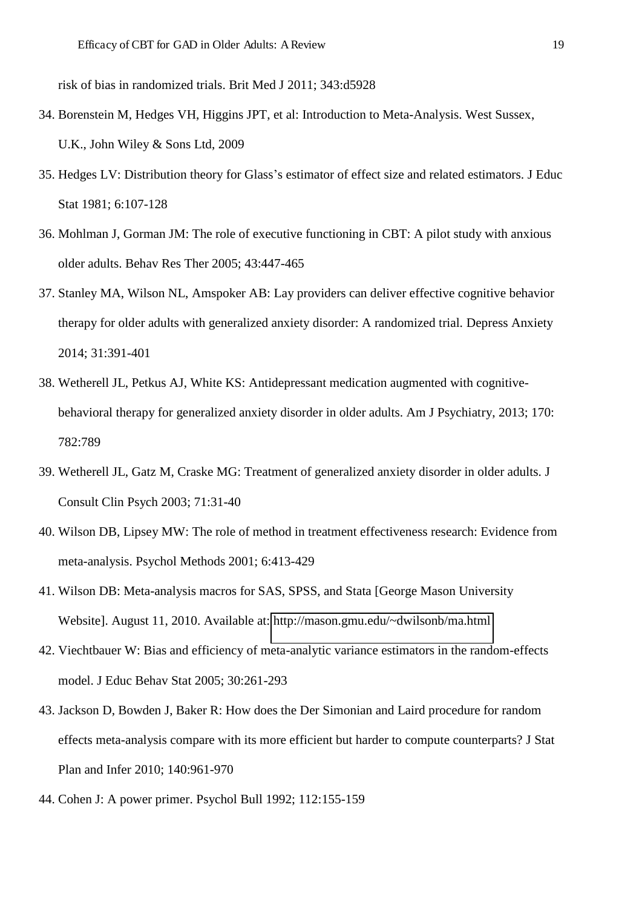risk of bias in randomized trials. Brit Med J 2011; 343:d5928

- 34. Borenstein M, Hedges VH, Higgins JPT, et al: Introduction to Meta-Analysis. West Sussex, U.K., John Wiley & Sons Ltd, 2009
- 35. Hedges LV: Distribution theory for Glass's estimator of effect size and related estimators. J Educ Stat 1981; 6:107-128
- 36. Mohlman J, Gorman JM: The role of executive functioning in CBT: A pilot study with anxious older adults. Behav Res Ther 2005; 43:447-465
- 37. Stanley MA, Wilson NL, Amspoker AB: Lay providers can deliver effective cognitive behavior therapy for older adults with generalized anxiety disorder: A randomized trial. Depress Anxiety 2014; 31:391-401
- 38. Wetherell JL, Petkus AJ, White KS: Antidepressant medication augmented with cognitivebehavioral therapy for generalized anxiety disorder in older adults. Am J Psychiatry, 2013; 170: 782:789
- 39. Wetherell JL, Gatz M, Craske MG: Treatment of generalized anxiety disorder in older adults. J Consult Clin Psych 2003; 71:31-40
- 40. Wilson DB, Lipsey MW: The role of method in treatment effectiveness research: Evidence from meta-analysis. Psychol Methods 2001; 6:413-429
- 41. Wilson DB: Meta-analysis macros for SAS, SPSS, and Stata [George Mason University Website]. August 11, 2010. Available at:<http://mason.gmu.edu/~dwilsonb/ma.html>
- 42. Viechtbauer W: Bias and efficiency of meta-analytic variance estimators in the random-effects model. J Educ Behav Stat 2005; 30:261-293
- 43. Jackson D, Bowden J, Baker R: How does the Der Simonian and Laird procedure for random effects meta-analysis compare with its more efficient but harder to compute counterparts? J Stat Plan and Infer 2010; 140:961-970
- 44. Cohen J: A power primer. Psychol Bull 1992; 112:155-159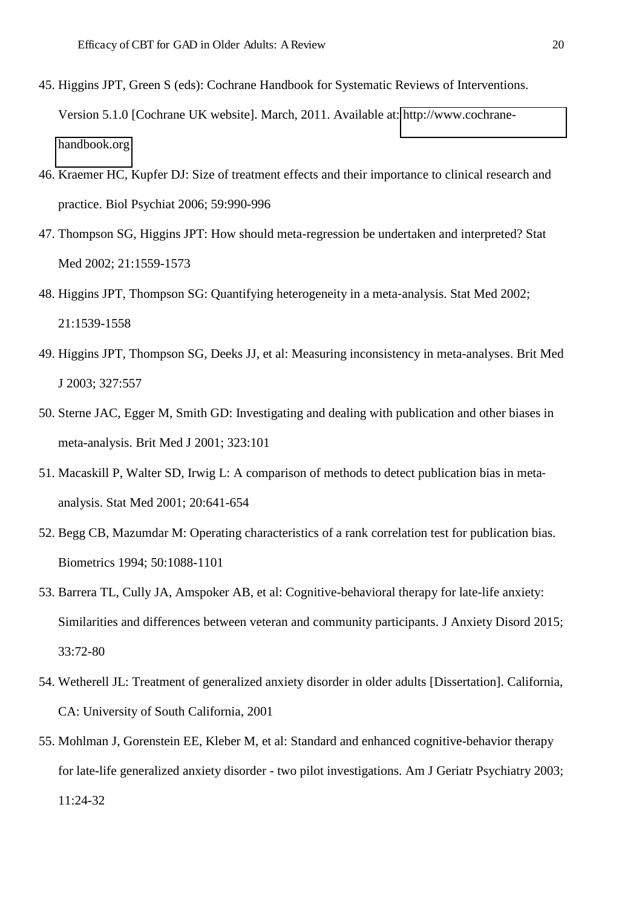- 45. Higgins JPT, Green S (eds): Cochrane Handbook for Systematic Reviews of Interventions. Version 5.1.0 [Cochrane UK website]. March, 2011. Available at: [http://www.cochrane](http://www.cochrane-handbook.org/)[handbook.org](http://www.cochrane-handbook.org/)
- 46. Kraemer HC, Kupfer DJ: Size of treatment effects and their importance to clinical research and practice. Biol Psychiat 2006; 59:990-996
- 47. Thompson SG, Higgins JPT: How should meta-regression be undertaken and interpreted? Stat Med 2002; 21:1559-1573
- 48. Higgins JPT, Thompson SG: Quantifying heterogeneity in a meta-analysis. Stat Med 2002; 21:1539-1558
- 49. Higgins JPT, Thompson SG, Deeks JJ, et al: Measuring inconsistency in meta-analyses. Brit Med J 2003; 327:557
- 50. Sterne JAC, Egger M, Smith GD: Investigating and dealing with publication and other biases in meta-analysis. Brit Med J 2001; 323:101
- 51. Macaskill P, Walter SD, Irwig L: A comparison of methods to detect publication bias in metaanalysis. Stat Med 2001; 20:641-654
- 52. Begg CB, Mazumdar M: Operating characteristics of a rank correlation test for publication bias. Biometrics 1994; 50:1088-1101
- 53. Barrera TL, Cully JA, Amspoker AB, et al: Cognitive-behavioral therapy for late-life anxiety: Similarities and differences between veteran and community participants. J Anxiety Disord 2015; 33:72-80
- 54. Wetherell JL: Treatment of generalized anxiety disorder in older adults [Dissertation]. California, CA: University of South California, 2001
- 55. Mohlman J, Gorenstein EE, Kleber M, et al: Standard and enhanced cognitive-behavior therapy for late-life generalized anxiety disorder - two pilot investigations. Am J Geriatr Psychiatry 2003; 11:24-32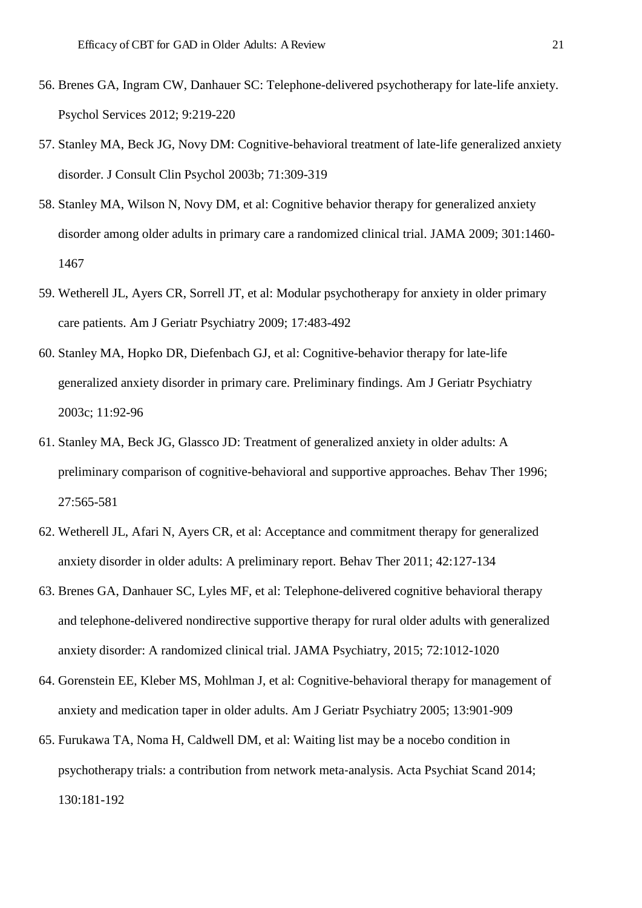- 56. Brenes GA, Ingram CW, Danhauer SC: Telephone-delivered psychotherapy for late-life anxiety. Psychol Services 2012; 9:219-220
- 57. Stanley MA, Beck JG, Novy DM: Cognitive-behavioral treatment of late-life generalized anxiety disorder. J Consult Clin Psychol 2003b; 71:309-319
- 58. Stanley MA, Wilson N, Novy DM, et al: Cognitive behavior therapy for generalized anxiety disorder among older adults in primary care a randomized clinical trial. JAMA 2009; 301:1460- 1467
- 59. Wetherell JL, Ayers CR, Sorrell JT, et al: Modular psychotherapy for anxiety in older primary care patients. Am J Geriatr Psychiatry 2009; 17:483-492
- 60. Stanley MA, Hopko DR, Diefenbach GJ, et al: Cognitive-behavior therapy for late-life generalized anxiety disorder in primary care. Preliminary findings. Am J Geriatr Psychiatry 2003c; 11:92-96
- 61. Stanley MA, Beck JG, Glassco JD: Treatment of generalized anxiety in older adults: A preliminary comparison of cognitive-behavioral and supportive approaches. Behav Ther 1996; 27:565-581
- 62. Wetherell JL, Afari N, Ayers CR, et al: Acceptance and commitment therapy for generalized anxiety disorder in older adults: A preliminary report. Behav Ther 2011; 42:127-134
- 63. Brenes GA, Danhauer SC, Lyles MF, et al: Telephone-delivered cognitive behavioral therapy and telephone-delivered nondirective supportive therapy for rural older adults with generalized anxiety disorder: A randomized clinical trial. JAMA Psychiatry, 2015; 72:1012-1020
- 64. Gorenstein EE, Kleber MS, Mohlman J, et al: Cognitive-behavioral therapy for management of anxiety and medication taper in older adults. Am J Geriatr Psychiatry 2005; 13:901-909
- 65. Furukawa TA, Noma H, Caldwell DM, et al: Waiting list may be a nocebo condition in psychotherapy trials: a contribution from network meta-analysis. Acta Psychiat Scand 2014; 130:181-192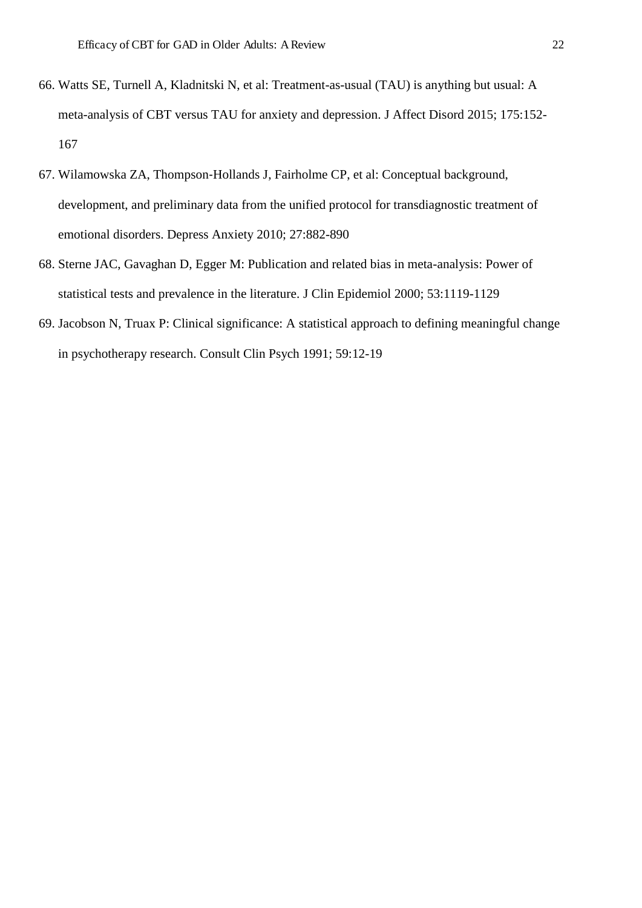- 66. Watts SE, Turnell A, Kladnitski N, et al: Treatment-as-usual (TAU) is anything but usual: A meta-analysis of CBT versus TAU for anxiety and depression. J Affect Disord 2015; 175:152- 167
- 67. Wilamowska ZA, Thompson-Hollands J, Fairholme CP, et al: Conceptual background, development, and preliminary data from the unified protocol for transdiagnostic treatment of emotional disorders. Depress Anxiety 2010; 27:882-890
- 68. Sterne JAC, Gavaghan D, Egger M: Publication and related bias in meta-analysis: Power of statistical tests and prevalence in the literature. J Clin Epidemiol 2000; 53:1119-1129
- 69. Jacobson N, Truax P: Clinical significance: A statistical approach to defining meaningful change in psychotherapy research. Consult Clin Psych 1991; 59:12-19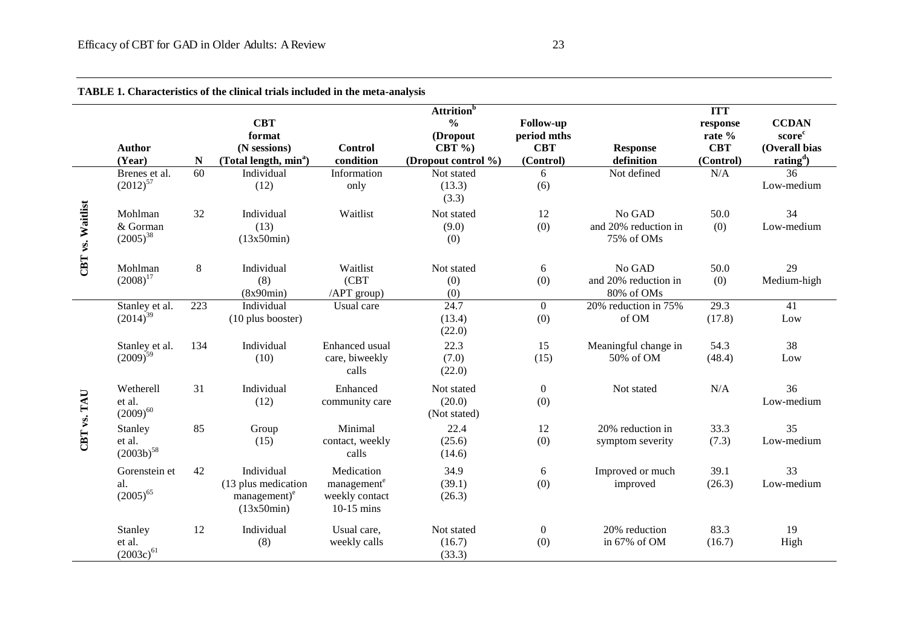|                  |                                       |             |                                                                             |                                                                         | <b>Attrition</b> <sup>b</sup>                               |                                                            |                                              | <b>ITT</b>                                    |                                                                              |
|------------------|---------------------------------------|-------------|-----------------------------------------------------------------------------|-------------------------------------------------------------------------|-------------------------------------------------------------|------------------------------------------------------------|----------------------------------------------|-----------------------------------------------|------------------------------------------------------------------------------|
|                  | <b>Author</b><br>(Year)               | $\mathbf N$ | <b>CBT</b><br>format<br>(N sessions)<br>(Total length, min <sup>a</sup> )   | <b>Control</b><br>condition                                             | $\frac{0}{0}$<br>(Dropout<br>CBT $%$<br>(Dropout control %) | <b>Follow-up</b><br>period mths<br><b>CBT</b><br>(Control) | <b>Response</b><br>definition                | response<br>rate %<br><b>CBT</b><br>(Control) | <b>CCDAN</b><br>score <sup>c</sup><br>(Overall bias<br>rating <sup>d</sup> ) |
| CBT vs. Waitlist | Brenes et al.<br>$(2012)^{57}$        | 60          | Individual<br>(12)                                                          | Information<br>only                                                     | Not stated<br>(13.3)<br>(3.3)                               | 6<br>(6)                                                   | Not defined                                  | N/A                                           | 36<br>Low-medium                                                             |
|                  | Mohlman<br>& Gorman<br>$(2005)^{38}$  | 32          | Individual<br>(13)<br>(13x50min)                                            | Waitlist                                                                | Not stated<br>(9.0)<br>(0)                                  | 12<br>(0)                                                  | No GAD<br>and 20% reduction in<br>75% of OMs | 50.0<br>(0)                                   | 34<br>Low-medium                                                             |
|                  | Mohlman<br>$(2008)^{17}$              | 8           | Individual<br>(8)<br>(8x90min)                                              | Waitlist<br>(CBT)<br>/APT group)                                        | Not stated<br>(0)<br>(0)                                    | $6\,$<br>(0)                                               | No GAD<br>and 20% reduction in<br>80% of OMs | 50.0<br>(0)                                   | 29<br>Medium-high                                                            |
|                  | Stanley et al.<br>$(2014)^{39}$       | 223         | Individual<br>$(10$ plus booster)                                           | Usual care                                                              | 24.7<br>(13.4)<br>(22.0)                                    | $\overline{0}$<br>(0)                                      | 20% reduction in 75%<br>of OM                | 29.3<br>(17.8)                                | 41<br>Low                                                                    |
| CBT vs. TAU      | Stanley et al.<br>$(2009)^{59}$       | 134         | Individual<br>(10)                                                          | Enhanced usual<br>care, biweekly<br>calls                               | 22.3<br>(7.0)<br>(22.0)                                     | 15<br>(15)                                                 | Meaningful change in<br>50% of OM            | 54.3<br>(48.4)                                | 38<br>Low                                                                    |
|                  | Wetherell<br>et al.<br>$(2009)^{60}$  | 31          | Individual<br>(12)                                                          | Enhanced<br>community care                                              | Not stated<br>(20.0)<br>(Not stated)                        | $\boldsymbol{0}$<br>(0)                                    | Not stated                                   | N/A                                           | 36<br>Low-medium                                                             |
|                  | Stanley<br>et al.<br>$(2003b)^{58}$   | 85          | Group<br>(15)                                                               | Minimal<br>contact, weekly<br>calls                                     | 22.4<br>(25.6)<br>(14.6)                                    | 12<br>(0)                                                  | 20% reduction in<br>symptom severity         | 33.3<br>(7.3)                                 | 35<br>Low-medium                                                             |
|                  | Gorenstein et<br>al.<br>$(2005)^{65}$ | 42          | Individual<br>(13 plus medication<br>management) <sup>e</sup><br>(13x50min) | Medication<br>management <sup>e</sup><br>weekly contact<br>$10-15$ mins | 34.9<br>(39.1)<br>(26.3)                                    | 6<br>(0)                                                   | Improved or much<br>improved                 | 39.1<br>(26.3)                                | 33<br>Low-medium                                                             |
|                  | Stanley<br>et al.<br>$(2003c)^{61}$   | 12          | Individual<br>(8)                                                           | Usual care,<br>weekly calls                                             | Not stated<br>(16.7)<br>(33.3)                              | $\boldsymbol{0}$<br>(0)                                    | 20% reduction<br>in 67% of OM                | 83.3<br>(16.7)                                | 19<br>High                                                                   |

**TABLE 1. Characteristics of the clinical trials included in the meta-analysis**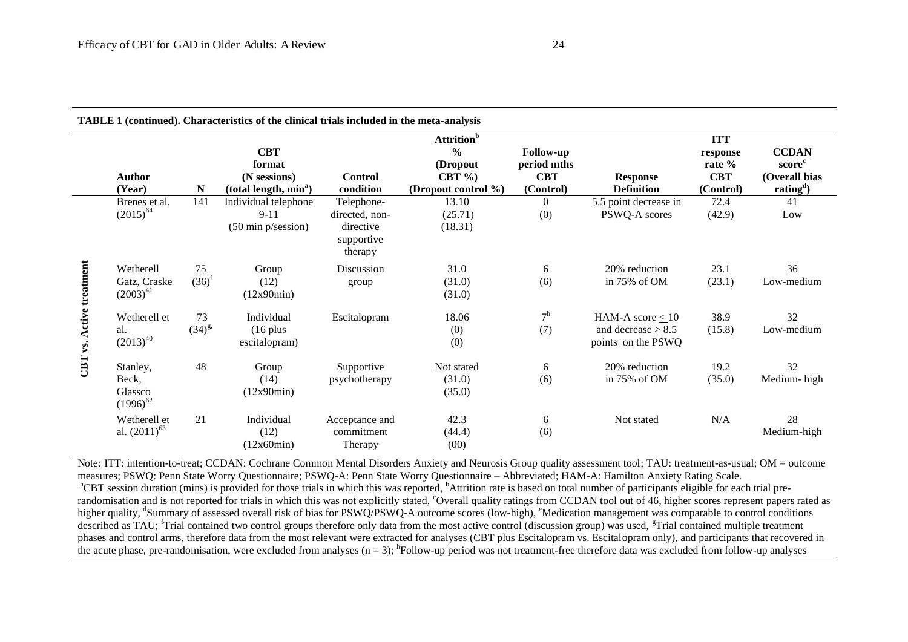| TABLE 1 (continued). Characteristics of the clinical trials included in the meta-analysis |                                               |                  |                                                                           |                                                                    |                                                             |                                                            |                                                                        |                                               |                                                                                           |  |
|-------------------------------------------------------------------------------------------|-----------------------------------------------|------------------|---------------------------------------------------------------------------|--------------------------------------------------------------------|-------------------------------------------------------------|------------------------------------------------------------|------------------------------------------------------------------------|-----------------------------------------------|-------------------------------------------------------------------------------------------|--|
|                                                                                           |                                               |                  |                                                                           |                                                                    | <b>Attrition</b> <sup>b</sup>                               |                                                            | <b>ITT</b>                                                             |                                               |                                                                                           |  |
|                                                                                           | Author<br>(Year)                              | ${\bf N}$        | <b>CBT</b><br>format<br>(N sessions)<br>(total length, min <sup>a</sup> ) | <b>Control</b><br>condition                                        | $\frac{0}{0}$<br>(Dropout<br>CBT $%$<br>(Dropout control %) | <b>Follow-up</b><br>period mths<br><b>CBT</b><br>(Control) | <b>Response</b><br><b>Definition</b>                                   | response<br>rate %<br><b>CBT</b><br>(Control) | <b>CCDAN</b><br>score <sup>c</sup><br>(Overall bias<br>rating <sup><math>d</math></sup> ) |  |
| Active treatment<br>CBT vs.                                                               | Brenes et al.<br>$(2015)^{64}$                | 141              | Individual telephone<br>$9 - 11$<br>$(50 \text{ min } p/\text{session})$  | Telephone-<br>directed, non-<br>directive<br>supportive<br>therapy | 13.10<br>(25.71)<br>(18.31)                                 | $\overline{0}$<br>(0)                                      | 5.5 point decrease in<br>PSWQ-A scores                                 | 72.4<br>(42.9)                                | 41<br>Low                                                                                 |  |
|                                                                                           | Wetherell<br>Gatz, Craske<br>$(2003)^{41}$    | 75<br>$(36)^f$   | Group<br>(12)<br>(12x90min)                                               | Discussion<br>group                                                | 31.0<br>(31.0)<br>(31.0)                                    | 6<br>(6)                                                   | 20% reduction<br>in 75% of OM                                          | 23.1<br>(23.1)                                | 36<br>Low-medium                                                                          |  |
|                                                                                           | Wetherell et<br>al.<br>$(2013)^{40}$          | 73<br>$(34)^{g}$ | Individual<br>$(16$ plus<br>escitalopram)                                 | Escitalopram                                                       | 18.06<br>(0)<br>(0)                                         | 7 <sup>h</sup><br>(7)                                      | HAM-A score $\leq 10$<br>and decrease $\geq 8.5$<br>points on the PSWQ | 38.9<br>(15.8)                                | 32<br>Low-medium                                                                          |  |
|                                                                                           | Stanley,<br>Beck,<br>Glassco<br>$(1996)^{62}$ | 48               | Group<br>(14)<br>(12x90min)                                               | Supportive<br>psychotherapy                                        | Not stated<br>(31.0)<br>(35.0)                              | 6<br>(6)                                                   | 20% reduction<br>in 75% of OM                                          | 19.2<br>(35.0)                                | 32<br>Medium-high                                                                         |  |
|                                                                                           | Wetherell et<br>al. $(2011)^{63}$             | 21               | Individual<br>(12)<br>(12x60min)                                          | Acceptance and<br>commitment<br>Therapy                            | 42.3<br>(44.4)<br>(00)                                      | 6<br>(6)                                                   | Not stated                                                             | N/A                                           | 28<br>Medium-high                                                                         |  |

Note: ITT: intention-to-treat; CCDAN: Cochrane Common Mental Disorders Anxiety and Neurosis Group quality assessment tool; TAU: treatment-as-usual; OM = outcome measures; PSWQ: Penn State Worry Questionnaire; PSWQ-A: Penn State Worry Questionnaire – Abbreviated; HAM-A: Hamilton Anxiety Rating Scale. <sup>a</sup>CBT session duration (mins) is provided for those trials in which this was reported, <sup>b</sup>Attrition rate is based on total number of participants eligible for each trial prerandomisation and is not reported for trials in which this was not explicitly stated, 'Overall quality ratings from CCDAN tool out of 46, higher scores represent papers rated as higher quality, <sup>d</sup>Summary of assessed overall risk of bias for PSWQ/PSWQ-A outcome scores (low-high), <sup>e</sup>Medication management was comparable to control conditions described as TAU; <sup>f</sup>Trial contained two control groups therefore only data from the most active control (discussion group) was used, <sup>g</sup>Trial contained multiple treatment phases and control arms, therefore data from the most relevant were extracted for analyses (CBT plus Escitalopram vs. Escitalopram only), and participants that recovered in the acute phase, pre-randomisation, were excluded from analyses  $(n = 3)$ ;  ${}^h$ Follow-up period was not treatment-free therefore data was excluded from follow-up analyses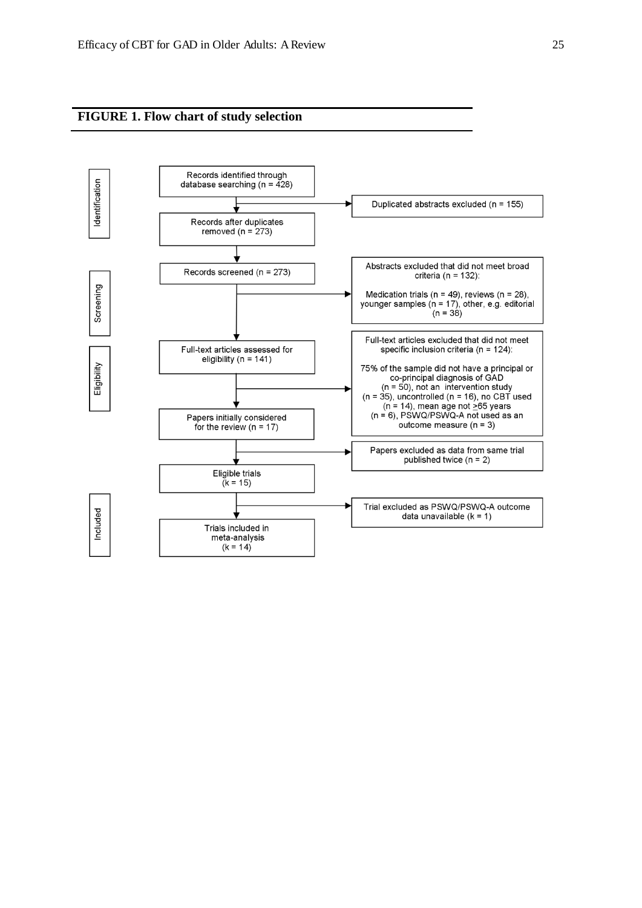**FIGURE 1. Flow chart of study selection**

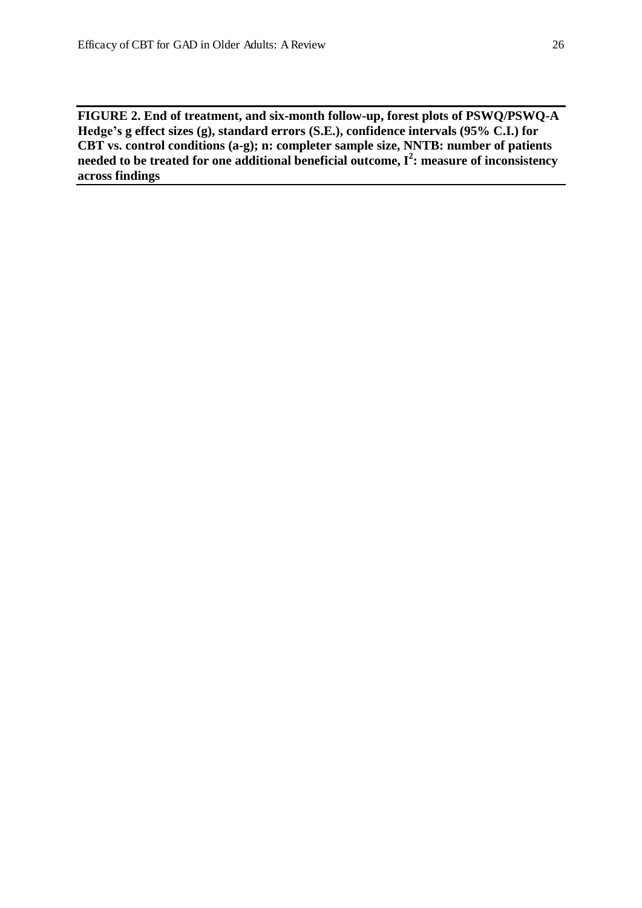**FIGURE 2. End of treatment, and six-month follow-up, forest plots of PSWQ/PSWQ-A Hedge's g effect sizes (g), standard errors (S.E.), confidence intervals (95% C.I.) for CBT vs. control conditions (a-g); n: completer sample size, NNTB: number of patients needed to be treated for one additional beneficial outcome, I<sup>2</sup> : measure of inconsistency across findings**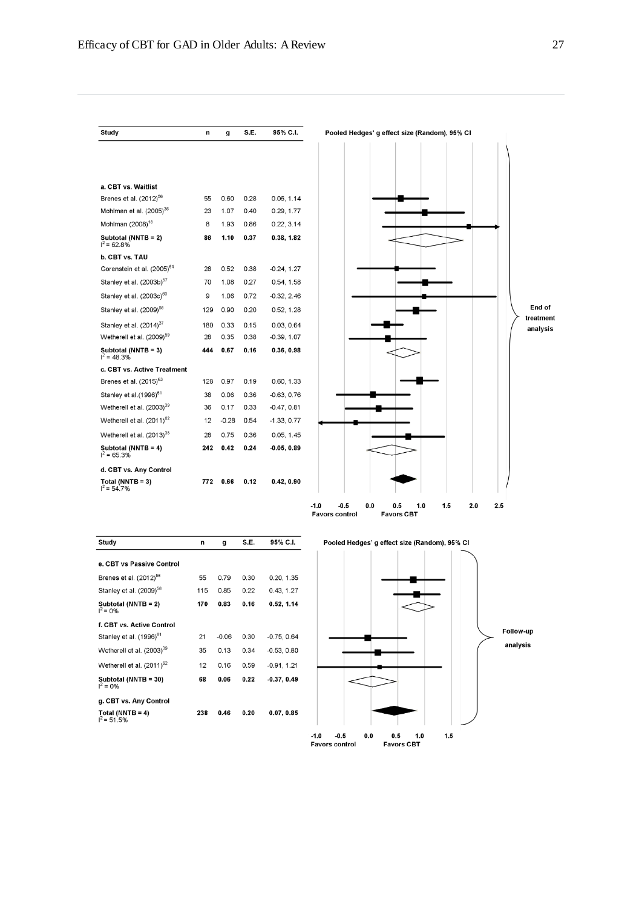$\mathbf n$ 

55

23

 $\bf8$ 

86

28

70

 $\mathsf g$ 

129

180

28

444

128

38

36

 $12$ 

28

242

Study

a. CBT vs. Waitlist Brenes et al. (2012)<sup>56</sup>

Mohlman (2008)<sup>18</sup>

b. CBT vs. TAU Gorenstein et al. (2005)<sup>64</sup>

**Subtotal (NNTB = 2)**<br> $1^2$  = 62.8%

Stanley et al. (2003b)<sup>57</sup>

Stanley et al. (2003c)<sup>60</sup>

Stanley et al. (2009)<sup>58</sup>

Stanley et al. (2014)<sup>37</sup>

**Subtotal (NNTB = 3)**<br> $1^2$  = 48.3%

Stanley et al.(1996)<sup>61</sup>

Wetherell et al. (2003)<sup>39</sup>

Wetherell et al. (2011)<sup>62</sup>

Wetherell et al. (2013)<sup>38</sup>

d. CBT vs. Any Control Total (NNTB = 3)<br> $I^2 = 54.7\%$ 

g. CBT vs. Any Control Total (NNTB = 4)<br> $I^2$  = 51.5%

Subtotal (NNTB = 4)<br> $1^2$  = 65.3%

 $= 65.3%$ 

Wetherell et al. (2009)<sup>59</sup>

c. CBT vs. Active Treatment Brenes et al. (2015)<sup>63</sup>

Mohlman et al. (2005)<sup>36</sup>





238  $0.46$   $0.07.0.85$ 

 $0.20$ 

Pooled Hedges' g effect size (Random), 95% CI